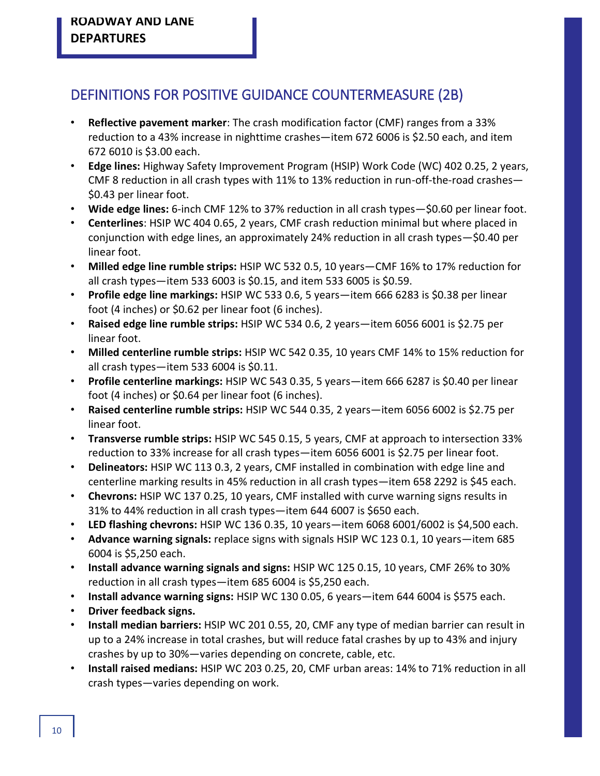## DEFINITIONS FOR POSITIVE GUIDANCE COUNTERMEASURE (2B)

- **Reflective pavement marker**: The crash modification factor (CMF) ranges from a 33% reduction to a 43% increase in nighttime crashes—item 672 6006 is \$2.50 each, and item 672 6010 is \$3.00 each.
- **Edge lines:** Highway Safety Improvement Program (HSIP) Work Code (WC) 402 0.25, 2 years, CMF 8 reduction in all crash types with 11% to 13% reduction in run-off-the-road crashes— \$0.43 per linear foot.
- **Wide edge lines:** 6-inch CMF 12% to 37% reduction in all crash types—\$0.60 per linear foot.
- **Centerlines**: HSIP WC 404 0.65, 2 years, CMF crash reduction minimal but where placed in conjunction with edge lines, an approximately 24% reduction in all crash types—\$0.40 per linear foot.
- **Milled edge line rumble strips:** HSIP WC 532 0.5, 10 years—CMF 16% to 17% reduction for all crash types—item 533 6003 is \$0.15, and item 533 6005 is \$0.59.
- **Profile edge line markings:** HSIP WC 533 0.6, 5 years—item 666 6283 is \$0.38 per linear foot (4 inches) or \$0.62 per linear foot (6 inches).
- **Raised edge line rumble strips:** HSIP WC 534 0.6, 2 years—item 6056 6001 is \$2.75 per linear foot.
- **Milled centerline rumble strips:** HSIP WC 542 0.35, 10 years CMF 14% to 15% reduction for all crash types—item 533 6004 is \$0.11.
- **Profile centerline markings:** HSIP WC 543 0.35, 5 years—item 666 6287 is \$0.40 per linear foot (4 inches) or \$0.64 per linear foot (6 inches).
- **Raised centerline rumble strips:** HSIP WC 544 0.35, 2 years—item 6056 6002 is \$2.75 per linear foot.
- **Transverse rumble strips:** HSIP WC 545 0.15, 5 years, CMF at approach to intersection 33% reduction to 33% increase for all crash types—item 6056 6001 is \$2.75 per linear foot.
- **Delineators:** HSIP WC 113 0.3, 2 years, CMF installed in combination with edge line and centerline marking results in 45% reduction in all crash types—item 658 2292 is \$45 each.
- **Chevrons:** HSIP WC 137 0.25, 10 years, CMF installed with curve warning signs results in 31% to 44% reduction in all crash types—item 644 6007 is \$650 each.
- **LED flashing chevrons:** HSIP WC 136 0.35, 10 years—item 6068 6001/6002 is \$4,500 each.
- **Advance warning signals:** replace signs with signals HSIP WC 123 0.1, 10 years—item 685 6004 is \$5,250 each.
- **Install advance warning signals and signs:** HSIP WC 125 0.15, 10 years, CMF 26% to 30% reduction in all crash types—item 685 6004 is \$5,250 each.
- **Install advance warning signs:** HSIP WC 130 0.05, 6 years—item 644 6004 is \$575 each.
- **Driver feedback signs.**
- **Install median barriers:** HSIP WC 201 0.55, 20, CMF any type of median barrier can result in up to a 24% increase in total crashes, but will reduce fatal crashes by up to 43% and injury crashes by up to 30%—varies depending on concrete, cable, etc.
- **Install raised medians:** HSIP WC 203 0.25, 20, CMF urban areas: 14% to 71% reduction in all crash types—varies depending on work.